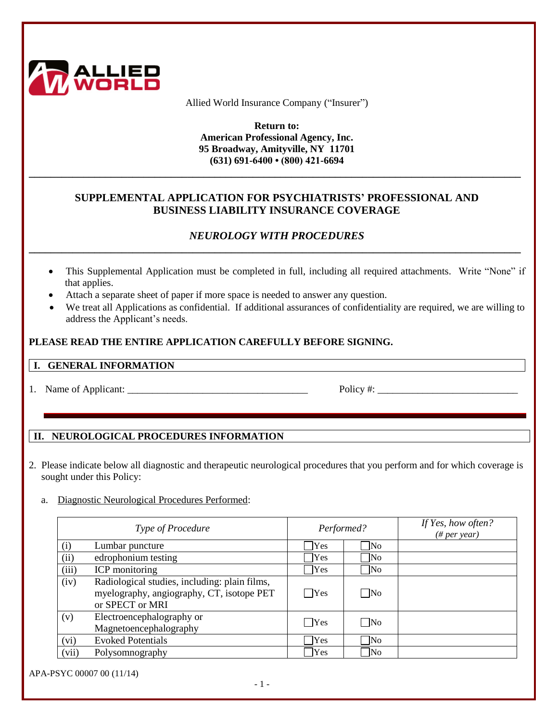

Allied World Insurance Company ("Insurer")

**Return to: American Professional Agency, Inc. 95 Broadway, Amityville, NY 11701 (631) 691-6400 • (800) 421-6694**

## **SUPPLEMENTAL APPLICATION FOR PSYCHIATRISTS' PROFESSIONAL AND BUSINESS LIABILITY INSURANCE COVERAGE**

**\_\_\_\_\_\_\_\_\_\_\_\_\_\_\_\_\_\_\_\_\_\_\_\_\_\_\_\_\_\_\_\_\_\_\_\_\_\_\_\_\_\_\_\_\_\_\_\_\_\_\_\_\_\_\_\_\_\_\_\_\_\_\_\_\_\_\_\_\_\_\_\_\_\_\_\_\_\_\_\_\_\_\_\_\_\_\_\_\_\_**

# *NEUROLOGY WITH PROCEDURES* **\_\_\_\_\_\_\_\_\_\_\_\_\_\_\_\_\_\_\_\_\_\_\_\_\_\_\_\_\_\_\_\_\_\_\_\_\_\_\_\_\_\_\_\_\_\_\_\_\_\_\_\_\_\_\_\_\_\_\_\_\_\_\_\_\_\_\_\_\_\_\_\_\_\_\_\_\_\_\_\_\_\_\_\_\_\_\_\_\_\_**

- This Supplemental Application must be completed in full, including all required attachments. Write "None" if that applies.
- Attach a separate sheet of paper if more space is needed to answer any question.
- We treat all Applications as confidential. If additional assurances of confidentiality are required, we are willing to address the Applicant's needs.

## **PLEASE READ THE ENTIRE APPLICATION CAREFULLY BEFORE SIGNING.**

#### **I. GENERAL INFORMATION**

1. Name of Applicant: \_\_\_\_\_\_\_\_\_\_\_\_\_\_\_\_\_\_\_\_\_\_\_\_\_\_\_\_\_\_\_\_\_\_\_\_ Policy #: \_\_\_\_\_\_\_\_\_\_\_\_\_\_\_\_\_\_\_\_\_\_\_\_\_\_\_\_

# **II. NEUROLOGICAL PROCEDURES INFORMATION**

- 2. Please indicate below all diagnostic and therapeutic neurological procedures that you perform and for which coverage is sought under this Policy:
	- a. Diagnostic Neurological Procedures Performed:

| Type of Procedure |                                                                                                               | Performed?    |                     | If Yes, how often?<br>$(\# per year)$ |
|-------------------|---------------------------------------------------------------------------------------------------------------|---------------|---------------------|---------------------------------------|
| (i)               | Lumbar puncture                                                                                               | <b>Yes</b>    | $\neg$ No           |                                       |
| (ii)              | edrophonium testing                                                                                           | Yes           | $\overline{\rm No}$ |                                       |
| (iii)             | <b>ICP</b> monitoring                                                                                         | $\bigcap$ Yes | $\overline{\rm No}$ |                                       |
| (iv)              | Radiological studies, including: plain films,<br>myelography, angiography, CT, isotope PET<br>or SPECT or MRI | $\Box$ Yes    | $\Box$ No           |                                       |
| (v)               | Electroencephalography or<br>Magnetoencephalography                                                           | $\bigcap$ Yes | $\neg$ No           |                                       |
| (vi)              | <b>Evoked Potentials</b>                                                                                      | <b>Yes</b>    | $\n $ No            |                                       |
| (vii)             | Polysomnography                                                                                               | Yes           | $\overline{\rm No}$ |                                       |

APA-PSYC 00007 00 (11/14)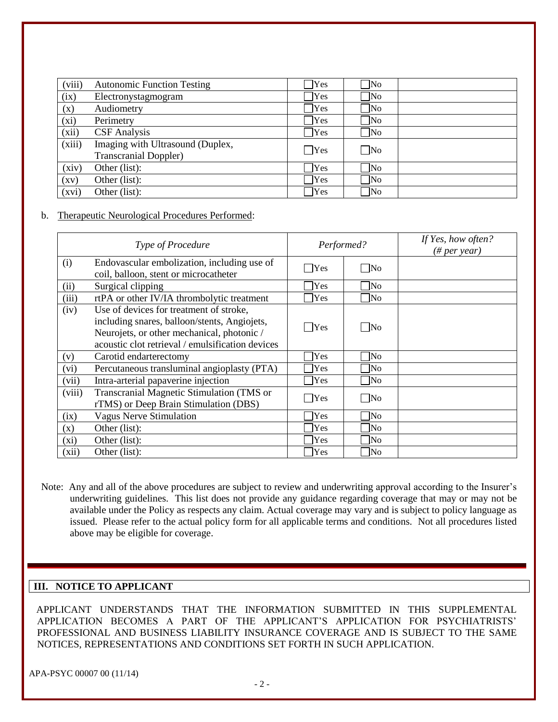| (viii)             | <b>Autonomic Function Testing</b> | Yes            | $\overline{\rm No}$    |  |
|--------------------|-----------------------------------|----------------|------------------------|--|
| (ix)               | Electronystagmogram               | Yes            | $\overline{\rm No}$    |  |
| (x)                | Audiometry                        | $\gamma$ Yes   | No                     |  |
| (xi)               | Perimetry                         | Yes            | $\overline{\text{No}}$ |  |
| (xii)              | <b>CSF</b> Analysis               | $\mathbf{Yes}$ | $\overline{\text{No}}$ |  |
| (xiii)             | Imaging with Ultrasound (Duplex,  | $\bigcap$ Yes  | $\neg$ No              |  |
|                    | <b>Transcranial Doppler)</b>      |                |                        |  |
| (xiv)              | Other (list):                     | Yes            | $\neg$ No              |  |
| $\left( xy\right)$ | Other (list):                     | Yes            | $\overline{\rm No}$    |  |
| (xvi)              | Other (list):                     | $\mathsf{Yes}$ | $\overline{\rm No}$    |  |

#### b. Therapeutic Neurological Procedures Performed:

| <b>Type of Procedure</b> |                                                                                                                                                                                           | Performed? |                        | If Yes, how often?<br>$(\# per year)$ |
|--------------------------|-------------------------------------------------------------------------------------------------------------------------------------------------------------------------------------------|------------|------------------------|---------------------------------------|
| (i)                      | Endovascular embolization, including use of<br>coil, balloon, stent or microcatheter                                                                                                      | Yes        | $\overline{\text{No}}$ |                                       |
| (ii)                     | Surgical clipping                                                                                                                                                                         | Yes        | N <sub>0</sub>         |                                       |
| (iii)                    | rtPA or other IV/IA thrombolytic treatment                                                                                                                                                | <b>Yes</b> | $\overline{\rm No}$    |                                       |
| (iv)                     | Use of devices for treatment of stroke,<br>including snares, balloon/stents, Angiojets,<br>Neurojets, or other mechanical, photonic /<br>acoustic clot retrieval / emulsification devices | Yes        | No                     |                                       |
| (v)                      | Carotid endarterectomy                                                                                                                                                                    | Yes        | N <sub>0</sub>         |                                       |
| (vi)                     | Percutaneous transluminal angioplasty (PTA)                                                                                                                                               | <b>Yes</b> | $\overline{\rm No}$    |                                       |
| (vii)                    | Intra-arterial papaverine injection                                                                                                                                                       | Yes        | $\overline{N_{0}}$     |                                       |
| (viii)                   | Transcranial Magnetic Stimulation (TMS or<br>rTMS) or Deep Brain Stimulation (DBS)                                                                                                        | Yes        | $\overline{\rm No}$    |                                       |
| (ix)                     | <b>Vagus Nerve Stimulation</b>                                                                                                                                                            | Yes        | lNo                    |                                       |
| (x)                      | Other (list):                                                                                                                                                                             | Yes        | lNo                    |                                       |
| $(x_i)$                  | Other (list):                                                                                                                                                                             | Yes        | lNo                    |                                       |
| (xii)                    | Other (list):                                                                                                                                                                             | Yes        | lNo                    |                                       |

Note: Any and all of the above procedures are subject to review and underwriting approval according to the Insurer's underwriting guidelines. This list does not provide any guidance regarding coverage that may or may not be available under the Policy as respects any claim. Actual coverage may vary and is subject to policy language as issued. Please refer to the actual policy form for all applicable terms and conditions. Not all procedures listed above may be eligible for coverage.

### **III. NOTICE TO APPLICANT**

 APPLICANT UNDERSTANDS THAT THE INFORMATION SUBMITTED IN THIS SUPPLEMENTAL APPLICATION BECOMES A PART OF THE APPLICANT'S APPLICATION FOR PSYCHIATRISTS' PROFESSIONAL AND BUSINESS LIABILITY INSURANCE COVERAGE AND IS SUBJECT TO THE SAME NOTICES, REPRESENTATIONS AND CONDITIONS SET FORTH IN SUCH APPLICATION.